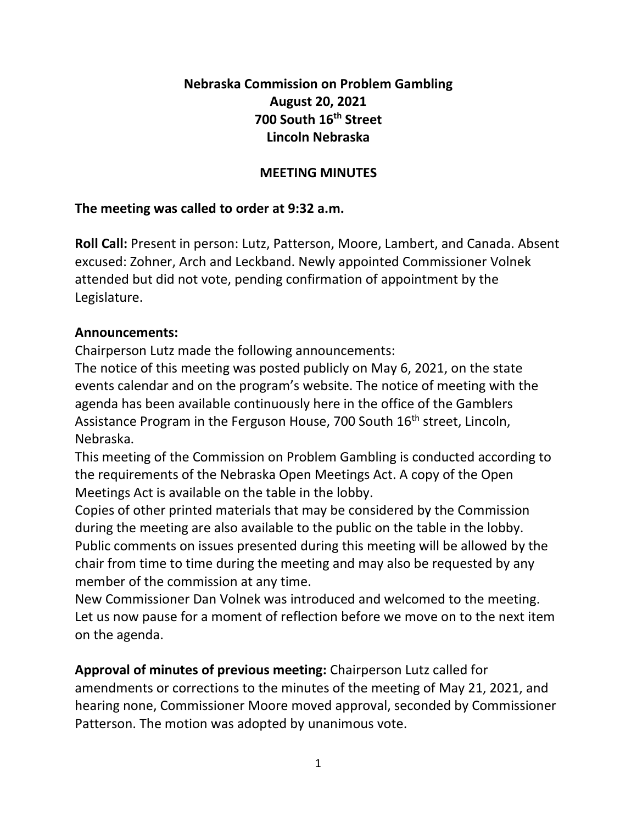# **Nebraska Commission on Problem Gambling August 20, 2021 700 South 16th Street Lincoln Nebraska**

# **MEETING MINUTES**

# **The meeting was called to order at 9:32 a.m.**

**Roll Call:** Present in person: Lutz, Patterson, Moore, Lambert, and Canada. Absent excused: Zohner, Arch and Leckband. Newly appointed Commissioner Volnek attended but did not vote, pending confirmation of appointment by the Legislature.

# **Announcements:**

Chairperson Lutz made the following announcements:

The notice of this meeting was posted publicly on May 6, 2021, on the state events calendar and on the program's website. The notice of meeting with the agenda has been available continuously here in the office of the Gamblers Assistance Program in the Ferguson House, 700 South  $16<sup>th</sup>$  street, Lincoln, Nebraska.

This meeting of the Commission on Problem Gambling is conducted according to the requirements of the Nebraska Open Meetings Act. A copy of the Open Meetings Act is available on the table in the lobby.

Copies of other printed materials that may be considered by the Commission during the meeting are also available to the public on the table in the lobby. Public comments on issues presented during this meeting will be allowed by the chair from time to time during the meeting and may also be requested by any member of the commission at any time.

New Commissioner Dan Volnek was introduced and welcomed to the meeting. Let us now pause for a moment of reflection before we move on to the next item on the agenda.

**Approval of minutes of previous meeting:** Chairperson Lutz called for amendments or corrections to the minutes of the meeting of May 21, 2021, and hearing none, Commissioner Moore moved approval, seconded by Commissioner Patterson. The motion was adopted by unanimous vote.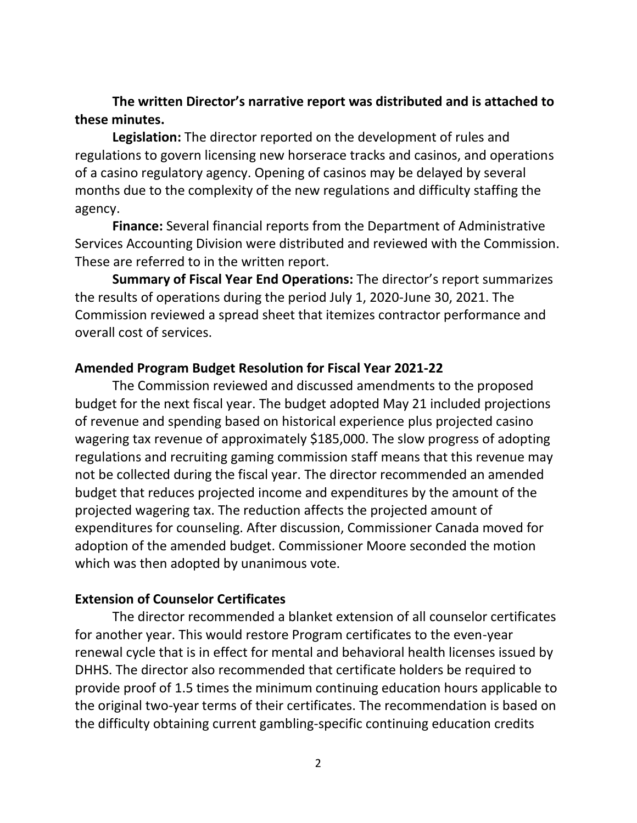# **The written Director's narrative report was distributed and is attached to these minutes.**

**Legislation:** The director reported on the development of rules and regulations to govern licensing new horserace tracks and casinos, and operations of a casino regulatory agency. Opening of casinos may be delayed by several months due to the complexity of the new regulations and difficulty staffing the agency.

**Finance:** Several financial reports from the Department of Administrative Services Accounting Division were distributed and reviewed with the Commission. These are referred to in the written report.

**Summary of Fiscal Year End Operations:** The director's report summarizes the results of operations during the period July 1, 2020-June 30, 2021. The Commission reviewed a spread sheet that itemizes contractor performance and overall cost of services.

### **Amended Program Budget Resolution for Fiscal Year 2021-22**

The Commission reviewed and discussed amendments to the proposed budget for the next fiscal year. The budget adopted May 21 included projections of revenue and spending based on historical experience plus projected casino wagering tax revenue of approximately \$185,000. The slow progress of adopting regulations and recruiting gaming commission staff means that this revenue may not be collected during the fiscal year. The director recommended an amended budget that reduces projected income and expenditures by the amount of the projected wagering tax. The reduction affects the projected amount of expenditures for counseling. After discussion, Commissioner Canada moved for adoption of the amended budget. Commissioner Moore seconded the motion which was then adopted by unanimous vote.

## **Extension of Counselor Certificates**

The director recommended a blanket extension of all counselor certificates for another year. This would restore Program certificates to the even-year renewal cycle that is in effect for mental and behavioral health licenses issued by DHHS. The director also recommended that certificate holders be required to provide proof of 1.5 times the minimum continuing education hours applicable to the original two-year terms of their certificates. The recommendation is based on the difficulty obtaining current gambling-specific continuing education credits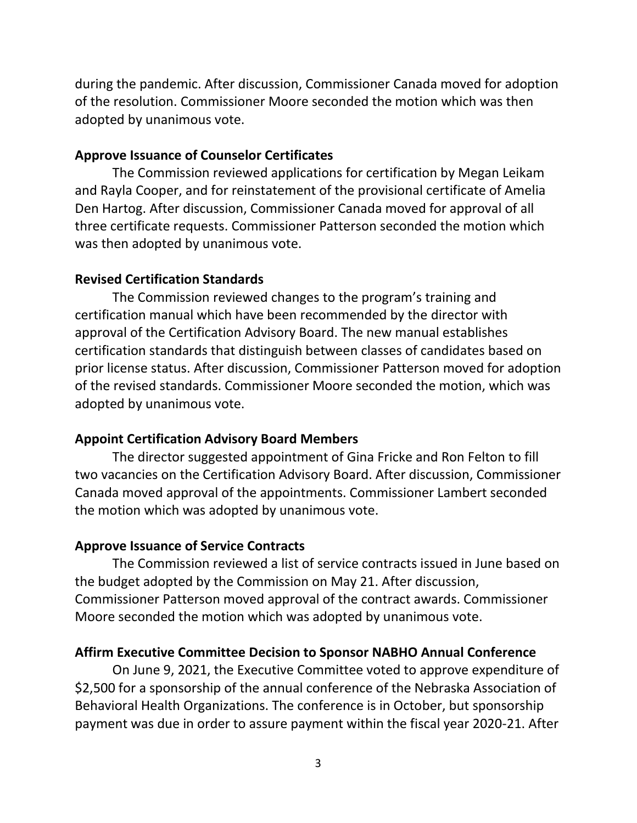during the pandemic. After discussion, Commissioner Canada moved for adoption of the resolution. Commissioner Moore seconded the motion which was then adopted by unanimous vote.

#### **Approve Issuance of Counselor Certificates**

The Commission reviewed applications for certification by Megan Leikam and Rayla Cooper, and for reinstatement of the provisional certificate of Amelia Den Hartog. After discussion, Commissioner Canada moved for approval of all three certificate requests. Commissioner Patterson seconded the motion which was then adopted by unanimous vote.

#### **Revised Certification Standards**

The Commission reviewed changes to the program's training and certification manual which have been recommended by the director with approval of the Certification Advisory Board. The new manual establishes certification standards that distinguish between classes of candidates based on prior license status. After discussion, Commissioner Patterson moved for adoption of the revised standards. Commissioner Moore seconded the motion, which was adopted by unanimous vote.

#### **Appoint Certification Advisory Board Members**

The director suggested appointment of Gina Fricke and Ron Felton to fill two vacancies on the Certification Advisory Board. After discussion, Commissioner Canada moved approval of the appointments. Commissioner Lambert seconded the motion which was adopted by unanimous vote.

#### **Approve Issuance of Service Contracts**

The Commission reviewed a list of service contracts issued in June based on the budget adopted by the Commission on May 21. After discussion, Commissioner Patterson moved approval of the contract awards. Commissioner Moore seconded the motion which was adopted by unanimous vote.

#### **Affirm Executive Committee Decision to Sponsor NABHO Annual Conference**

On June 9, 2021, the Executive Committee voted to approve expenditure of \$2,500 for a sponsorship of the annual conference of the Nebraska Association of Behavioral Health Organizations. The conference is in October, but sponsorship payment was due in order to assure payment within the fiscal year 2020-21. After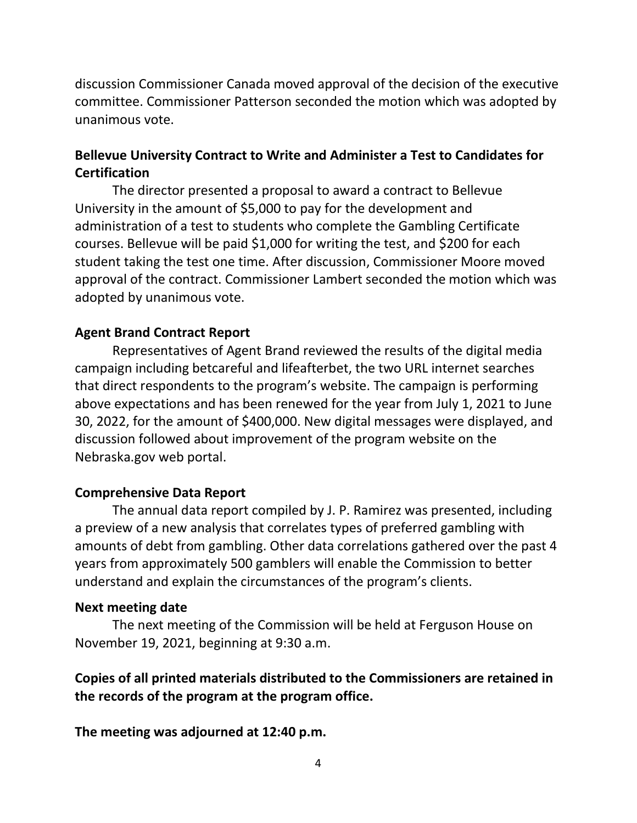discussion Commissioner Canada moved approval of the decision of the executive committee. Commissioner Patterson seconded the motion which was adopted by unanimous vote.

# **Bellevue University Contract to Write and Administer a Test to Candidates for Certification**

The director presented a proposal to award a contract to Bellevue University in the amount of \$5,000 to pay for the development and administration of a test to students who complete the Gambling Certificate courses. Bellevue will be paid \$1,000 for writing the test, and \$200 for each student taking the test one time. After discussion, Commissioner Moore moved approval of the contract. Commissioner Lambert seconded the motion which was adopted by unanimous vote.

## **Agent Brand Contract Report**

Representatives of Agent Brand reviewed the results of the digital media campaign including betcareful and lifeafterbet, the two URL internet searches that direct respondents to the program's website. The campaign is performing above expectations and has been renewed for the year from July 1, 2021 to June 30, 2022, for the amount of \$400,000. New digital messages were displayed, and discussion followed about improvement of the program website on the Nebraska.gov web portal.

## **Comprehensive Data Report**

The annual data report compiled by J. P. Ramirez was presented, including a preview of a new analysis that correlates types of preferred gambling with amounts of debt from gambling. Other data correlations gathered over the past 4 years from approximately 500 gamblers will enable the Commission to better understand and explain the circumstances of the program's clients.

### **Next meeting date**

The next meeting of the Commission will be held at Ferguson House on November 19, 2021, beginning at 9:30 a.m.

# **Copies of all printed materials distributed to the Commissioners are retained in the records of the program at the program office.**

**The meeting was adjourned at 12:40 p.m.**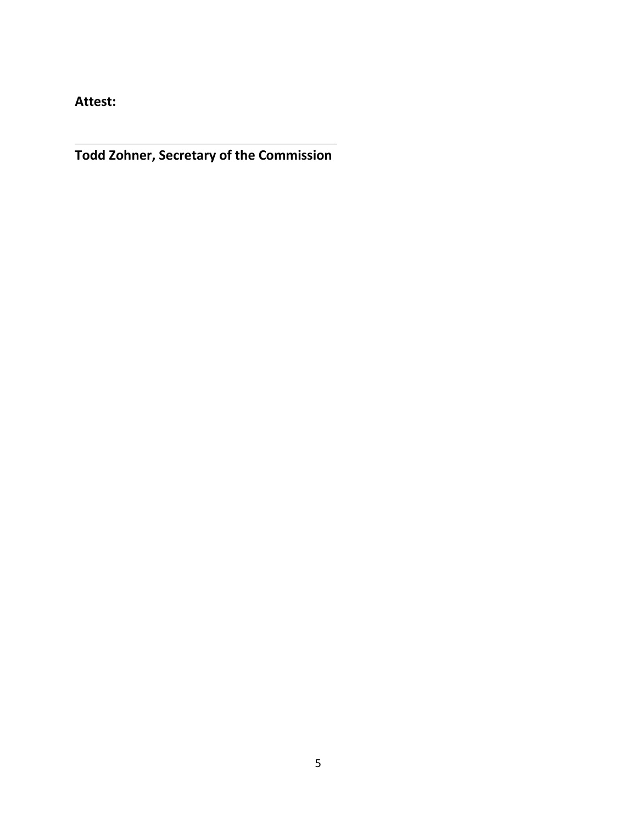**Attest:**

**Todd Zohner, Secretary of the Commission**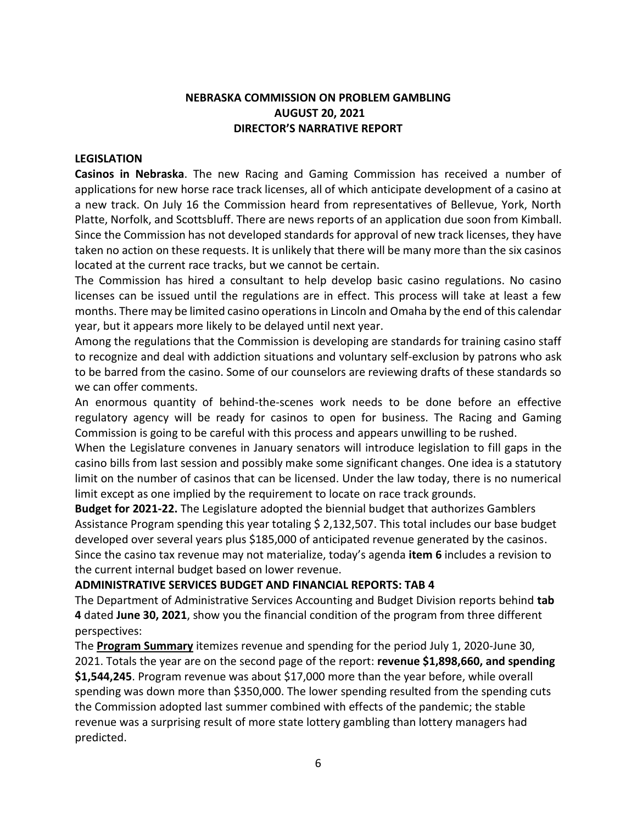#### **NEBRASKA COMMISSION ON PROBLEM GAMBLING AUGUST 20, 2021 DIRECTOR'S NARRATIVE REPORT**

#### **LEGISLATION**

**Casinos in Nebraska**. The new Racing and Gaming Commission has received a number of applications for new horse race track licenses, all of which anticipate development of a casino at a new track. On July 16 the Commission heard from representatives of Bellevue, York, North Platte, Norfolk, and Scottsbluff. There are news reports of an application due soon from Kimball. Since the Commission has not developed standards for approval of new track licenses, they have taken no action on these requests. It is unlikely that there will be many more than the six casinos located at the current race tracks, but we cannot be certain.

The Commission has hired a consultant to help develop basic casino regulations. No casino licenses can be issued until the regulations are in effect. This process will take at least a few months. There may be limited casino operations in Lincoln and Omaha by the end of this calendar year, but it appears more likely to be delayed until next year.

Among the regulations that the Commission is developing are standards for training casino staff to recognize and deal with addiction situations and voluntary self-exclusion by patrons who ask to be barred from the casino. Some of our counselors are reviewing drafts of these standards so we can offer comments.

An enormous quantity of behind-the-scenes work needs to be done before an effective regulatory agency will be ready for casinos to open for business. The Racing and Gaming Commission is going to be careful with this process and appears unwilling to be rushed.

When the Legislature convenes in January senators will introduce legislation to fill gaps in the casino bills from last session and possibly make some significant changes. One idea is a statutory limit on the number of casinos that can be licensed. Under the law today, there is no numerical limit except as one implied by the requirement to locate on race track grounds.

**Budget for 2021-22.** The Legislature adopted the biennial budget that authorizes Gamblers Assistance Program spending this year totaling \$ 2,132,507. This total includes our base budget developed over several years plus \$185,000 of anticipated revenue generated by the casinos. Since the casino tax revenue may not materialize, today's agenda **item 6** includes a revision to the current internal budget based on lower revenue.

#### **ADMINISTRATIVE SERVICES BUDGET AND FINANCIAL REPORTS: TAB 4**

The Department of Administrative Services Accounting and Budget Division reports behind **tab 4** dated **June 30, 2021**, show you the financial condition of the program from three different perspectives:

The **Program Summary** itemizes revenue and spending for the period July 1, 2020-June 30, 2021. Totals the year are on the second page of the report: **revenue \$1,898,660, and spending \$1,544,245**. Program revenue was about \$17,000 more than the year before, while overall spending was down more than \$350,000. The lower spending resulted from the spending cuts the Commission adopted last summer combined with effects of the pandemic; the stable revenue was a surprising result of more state lottery gambling than lottery managers had predicted.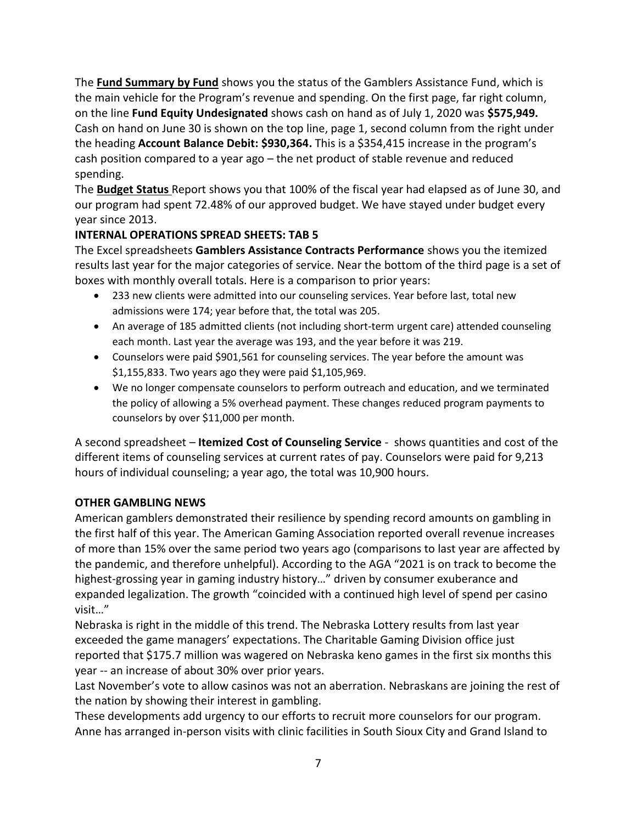The **Fund Summary by Fund** shows you the status of the Gamblers Assistance Fund, which is the main vehicle for the Program's revenue and spending. On the first page, far right column, on the line **Fund Equity Undesignated** shows cash on hand as of July 1, 2020 was **\$575,949.** Cash on hand on June 30 is shown on the top line, page 1, second column from the right under the heading **Account Balance Debit: \$930,364.** This is a \$354,415 increase in the program's cash position compared to a year ago – the net product of stable revenue and reduced spending.

The **Budget Status** Report shows you that 100% of the fiscal year had elapsed as of June 30, and our program had spent 72.48% of our approved budget. We have stayed under budget every year since 2013.

#### **INTERNAL OPERATIONS SPREAD SHEETS: TAB 5**

The Excel spreadsheets **Gamblers Assistance Contracts Performance** shows you the itemized results last year for the major categories of service. Near the bottom of the third page is a set of boxes with monthly overall totals. Here is a comparison to prior years:

- 233 new clients were admitted into our counseling services. Year before last, total new admissions were 174; year before that, the total was 205.
- An average of 185 admitted clients (not including short-term urgent care) attended counseling each month. Last year the average was 193, and the year before it was 219.
- Counselors were paid \$901,561 for counseling services. The year before the amount was \$1,155,833. Two years ago they were paid \$1,105,969.
- We no longer compensate counselors to perform outreach and education, and we terminated the policy of allowing a 5% overhead payment. These changes reduced program payments to counselors by over \$11,000 per month.

A second spreadsheet – **Itemized Cost of Counseling Service** - shows quantities and cost of the different items of counseling services at current rates of pay. Counselors were paid for 9,213 hours of individual counseling; a year ago, the total was 10,900 hours.

### **OTHER GAMBLING NEWS**

American gamblers demonstrated their resilience by spending record amounts on gambling in the first half of this year. The American Gaming Association reported overall revenue increases of more than 15% over the same period two years ago (comparisons to last year are affected by the pandemic, and therefore unhelpful). According to the AGA "2021 is on track to become the highest-grossing year in gaming industry history…" driven by consumer exuberance and expanded legalization. The growth "coincided with a continued high level of spend per casino visit…"

Nebraska is right in the middle of this trend. The Nebraska Lottery results from last year exceeded the game managers' expectations. The Charitable Gaming Division office just reported that \$175.7 million was wagered on Nebraska keno games in the first six months this year -- an increase of about 30% over prior years.

Last November's vote to allow casinos was not an aberration. Nebraskans are joining the rest of the nation by showing their interest in gambling.

These developments add urgency to our efforts to recruit more counselors for our program. Anne has arranged in-person visits with clinic facilities in South Sioux City and Grand Island to